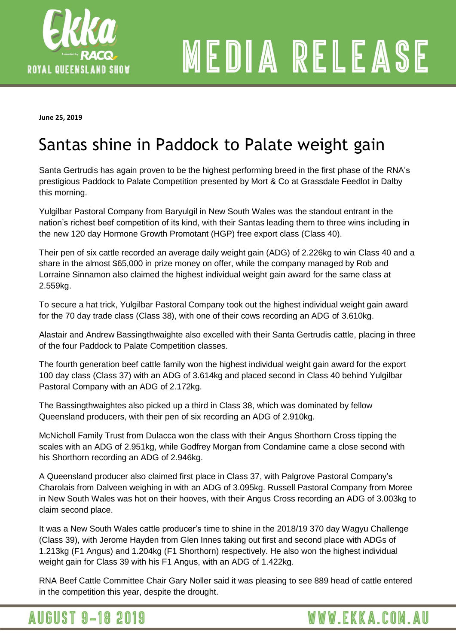

# MEDIA RELEASE

**June 25, 2019** 

# Santas shine in Paddock to Palate weight gain

Santa Gertrudis has again proven to be the highest performing breed in the first phase of the RNA's prestigious Paddock to Palate Competition presented by Mort & Co at Grassdale Feedlot in Dalby this morning.

Yulgilbar Pastoral Company from Baryulgil in New South Wales was the standout entrant in the nation's richest beef competition of its kind, with their Santas leading them to three wins including in the new 120 day Hormone Growth Promotant (HGP) free export class (Class 40).

Their pen of six cattle recorded an average daily weight gain (ADG) of 2.226kg to win Class 40 and a share in the almost \$65,000 in prize money on offer, while the company managed by Rob and Lorraine Sinnamon also claimed the highest individual weight gain award for the same class at 2.559kg.

To secure a hat trick, Yulgilbar Pastoral Company took out the highest individual weight gain award for the 70 day trade class (Class 38), with one of their cows recording an ADG of 3.610kg.

Alastair and Andrew Bassingthwaighte also excelled with their Santa Gertrudis cattle, placing in three of the four Paddock to Palate Competition classes.

The fourth generation beef cattle family won the highest individual weight gain award for the export 100 day class (Class 37) with an ADG of 3.614kg and placed second in Class 40 behind Yulgilbar Pastoral Company with an ADG of 2.172kg.

The Bassingthwaightes also picked up a third in Class 38, which was dominated by fellow Queensland producers, with their pen of six recording an ADG of 2.910kg.

McNicholl Family Trust from Dulacca won the class with their Angus Shorthorn Cross tipping the scales with an ADG of 2.951kg, while Godfrey Morgan from Condamine came a close second with his Shorthorn recording an ADG of 2.946kg.

A Queensland producer also claimed first place in Class 37, with Palgrove Pastoral Company's Charolais from Dalveen weighing in with an ADG of 3.095kg. Russell Pastoral Company from Moree in New South Wales was hot on their hooves, with their Angus Cross recording an ADG of 3.003kg to claim second place.

It was a New South Wales cattle producer's time to shine in the 2018/19 370 day Wagyu Challenge (Class 39), with Jerome Hayden from Glen Innes taking out first and second place with ADGs of 1.213kg (F1 Angus) and 1.204kg (F1 Shorthorn) respectively. He also won the highest individual weight gain for Class 39 with his F1 Angus, with an ADG of 1.422kg.

RNA Beef Cattle Committee Chair Gary Noller said it was pleasing to see 889 head of cattle entered in the competition this year, despite the drought.

**AUGUST 9-18 2019** 

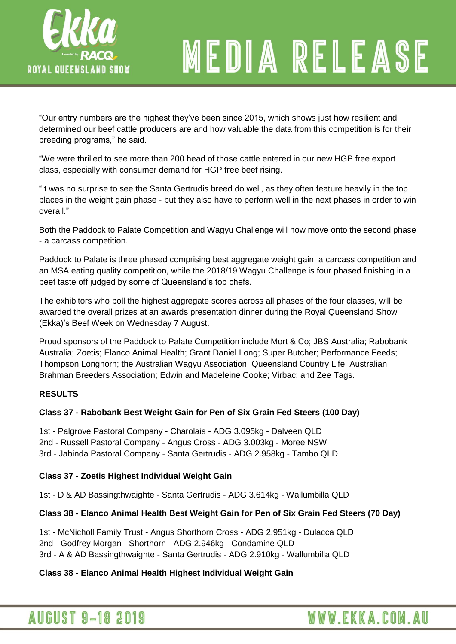

# MEDIA RELEASE

"Our entry numbers are the highest they've been since 2015, which shows just how resilient and determined our beef cattle producers are and how valuable the data from this competition is for their breeding programs," he said.

"We were thrilled to see more than 200 head of those cattle entered in our new HGP free export class, especially with consumer demand for HGP free beef rising.

"It was no surprise to see the Santa Gertrudis breed do well, as they often feature heavily in the top places in the weight gain phase - but they also have to perform well in the next phases in order to win overall."

Both the Paddock to Palate Competition and Wagyu Challenge will now move onto the second phase - a carcass competition.

Paddock to Palate is three phased comprising best aggregate weight gain; a carcass competition and an MSA eating quality competition, while the 2018/19 Wagyu Challenge is four phased finishing in a beef taste off judged by some of Queensland's top chefs.

The exhibitors who poll the highest aggregate scores across all phases of the four classes, will be awarded the overall prizes at an awards presentation dinner during the Royal Queensland Show (Ekka)'s Beef Week on Wednesday 7 August.

Proud sponsors of the Paddock to Palate Competition include Mort & Co; JBS Australia; Rabobank Australia; Zoetis; Elanco Animal Health; Grant Daniel Long; Super Butcher; Performance Feeds; Thompson Longhorn; the Australian Wagyu Association; Queensland Country Life; Australian Brahman Breeders Association; Edwin and Madeleine Cooke; Virbac; and Zee Tags.

## **RESULTS**

## **Class 37 - Rabobank Best Weight Gain for Pen of Six Grain Fed Steers (100 Day)**

1st - Palgrove Pastoral Company - Charolais - ADG 3.095kg - Dalveen QLD 2nd - Russell Pastoral Company - Angus Cross - ADG 3.003kg - Moree NSW 3rd - Jabinda Pastoral Company - Santa Gertrudis - ADG 2.958kg - Tambo QLD

#### **Class 37 - Zoetis Highest Individual Weight Gain**

1st - D & AD Bassingthwaighte - Santa Gertrudis - ADG 3.614kg - Wallumbilla QLD

#### **Class 38 - Elanco Animal Health Best Weight Gain for Pen of Six Grain Fed Steers (70 Day)**

1st - McNicholl Family Trust - Angus Shorthorn Cross - ADG 2.951kg - Dulacca QLD 2nd - Godfrey Morgan - Shorthorn - ADG 2.946kg - Condamine QLD 3rd - A & AD Bassingthwaighte - Santa Gertrudis - ADG 2.910kg - Wallumbilla QLD

#### **Class 38 - Elanco Animal Health Highest Individual Weight Gain**

## **AUGUST 9-18 2019**

## WWW.EKKA.COM.AU